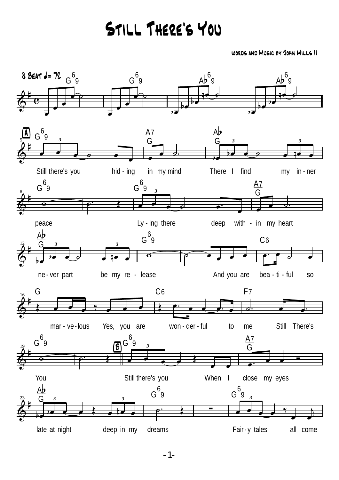## Still There's You

words and Music by John Mills II